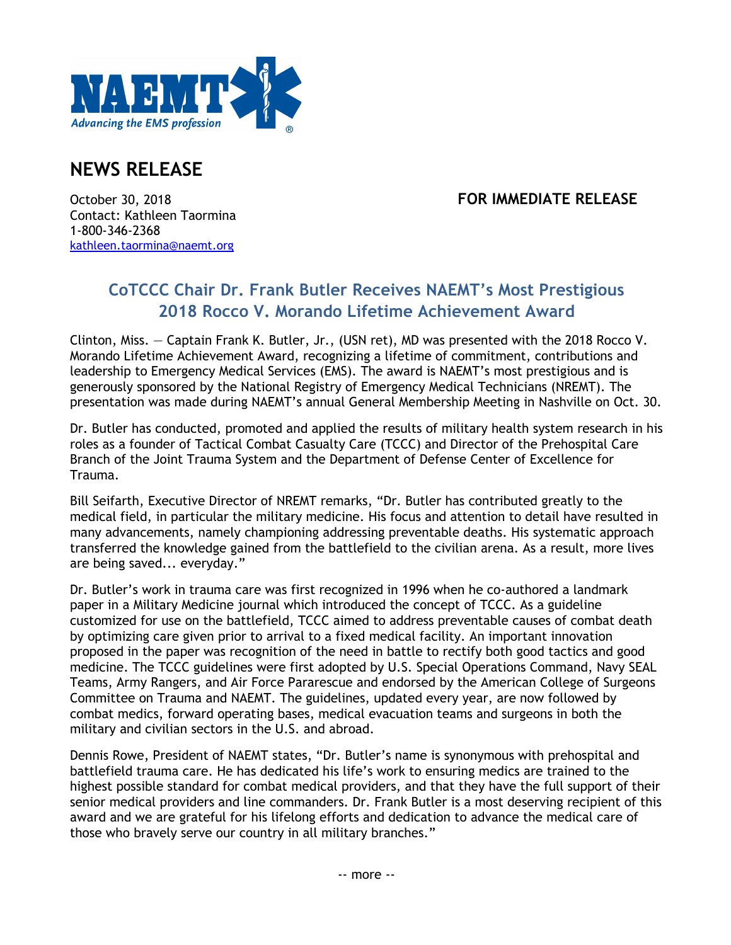

## **NEWS RELEASE**

## October 30, 2018 **FOR IMMEDIATE RELEASE**

Contact: Kathleen Taormina 1-800-346-2368 kathleen.taormina@naemt.org

## **CoTCCC Chair Dr. Frank Butler Receives NAEMT's Most Prestigious 2018 Rocco V. Morando Lifetime Achievement Award**

Clinton, Miss. — Captain Frank K. Butler, Jr., (USN ret), MD was presented with the 2018 Rocco V. Morando Lifetime Achievement Award, recognizing a lifetime of commitment, contributions and leadership to Emergency Medical Services (EMS). The award is NAEMT's most prestigious and is generously sponsored by the National Registry of Emergency Medical Technicians (NREMT). The presentation was made during NAEMT's annual General Membership Meeting in Nashville on Oct. 30.

Dr. Butler has conducted, promoted and applied the results of military health system research in his roles as a founder of Tactical Combat Casualty Care (TCCC) and Director of the Prehospital Care Branch of the Joint Trauma System and the Department of Defense Center of Excellence for Trauma.

Bill Seifarth, Executive Director of NREMT remarks, "Dr. Butler has contributed greatly to the medical field, in particular the military medicine. His focus and attention to detail have resulted in many advancements, namely championing addressing preventable deaths. His systematic approach transferred the knowledge gained from the battlefield to the civilian arena. As a result, more lives are being saved... everyday."

Dr. Butler's work in trauma care was first recognized in 1996 when he co-authored a landmark paper in a Military Medicine journal which introduced the concept of TCCC. As a guideline customized for use on the battlefield, TCCC aimed to address preventable causes of combat death by optimizing care given prior to arrival to a fixed medical facility. An important innovation proposed in the paper was recognition of the need in battle to rectify both good tactics and good medicine. The TCCC guidelines were first adopted by U.S. Special Operations Command, Navy SEAL Teams, Army Rangers, and Air Force Pararescue and endorsed by the American College of Surgeons Committee on Trauma and NAEMT. The guidelines, updated every year, are now followed by combat medics, forward operating bases, medical evacuation teams and surgeons in both the military and civilian sectors in the U.S. and abroad.

Dennis Rowe, President of NAEMT states, "Dr. Butler's name is synonymous with prehospital and battlefield trauma care. He has dedicated his life's work to ensuring medics are trained to the highest possible standard for combat medical providers, and that they have the full support of their senior medical providers and line commanders. Dr. Frank Butler is a most deserving recipient of this award and we are grateful for his lifelong efforts and dedication to advance the medical care of those who bravely serve our country in all military branches."